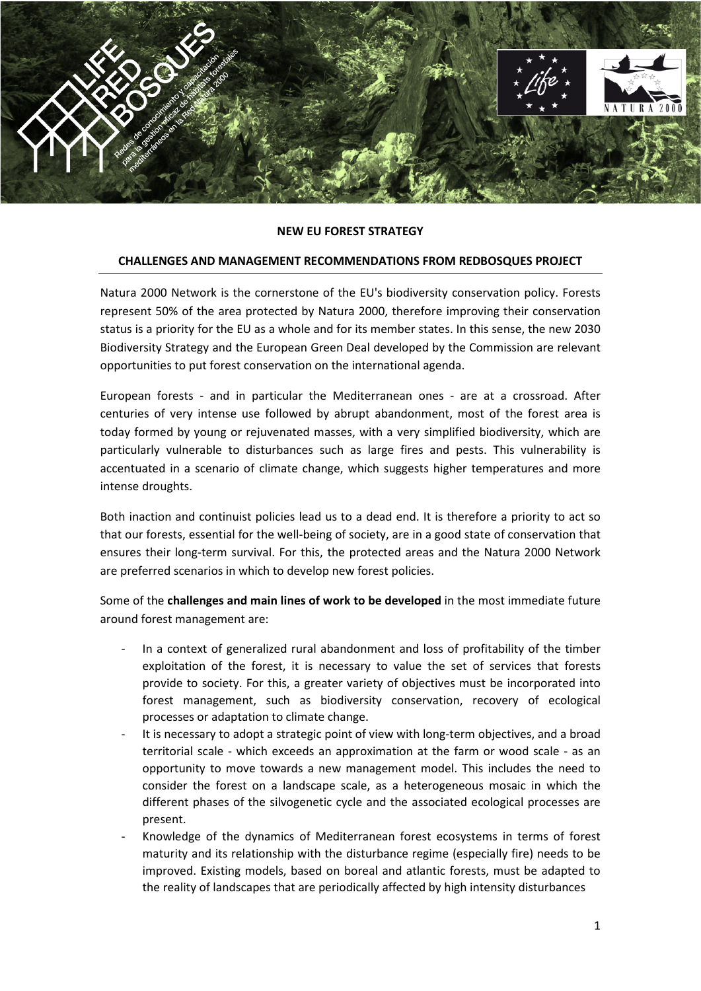

## **NEW EU FOREST STRATEGY**

## **CHALLENGES AND MANAGEMENT RECOMMENDATIONS FROM REDBOSQUES PROJECT**

Natura 2000 Network is the cornerstone of the EU's biodiversity conservation policy. Forests represent 50% of the area protected by Natura 2000, therefore improving their conservation status is a priority for the EU as a whole and for its member states. In this sense, the new 2030 Biodiversity Strategy and the European Green Deal developed by the Commission are relevant opportunities to put forest conservation on the international agenda.

European forests - and in particular the Mediterranean ones - are at a crossroad. After centuries of very intense use followed by abrupt abandonment, most of the forest area is today formed by young or rejuvenated masses, with a very simplified biodiversity, which are particularly vulnerable to disturbances such as large fires and pests. This vulnerability is accentuated in a scenario of climate change, which suggests higher temperatures and more intense droughts.

Both inaction and continuist policies lead us to a dead end. It is therefore a priority to act so that our forests, essential for the well-being of society, are in a good state of conservation that ensures their long-term survival. For this, the protected areas and the Natura 2000 Network are preferred scenarios in which to develop new forest policies.

Some of the **challenges and main lines of work to be developed** in the most immediate future around forest management are:

- In a context of generalized rural abandonment and loss of profitability of the timber exploitation of the forest, it is necessary to value the set of services that forests provide to society. For this, a greater variety of objectives must be incorporated into forest management, such as biodiversity conservation, recovery of ecological processes or adaptation to climate change.
- It is necessary to adopt a strategic point of view with long-term objectives, and a broad territorial scale - which exceeds an approximation at the farm or wood scale - as an opportunity to move towards a new management model. This includes the need to consider the forest on a landscape scale, as a heterogeneous mosaic in which the different phases of the silvogenetic cycle and the associated ecological processes are present.
- Knowledge of the dynamics of Mediterranean forest ecosystems in terms of forest maturity and its relationship with the disturbance regime (especially fire) needs to be improved. Existing models, based on boreal and atlantic forests, must be adapted to the reality of landscapes that are periodically affected by high intensity disturbances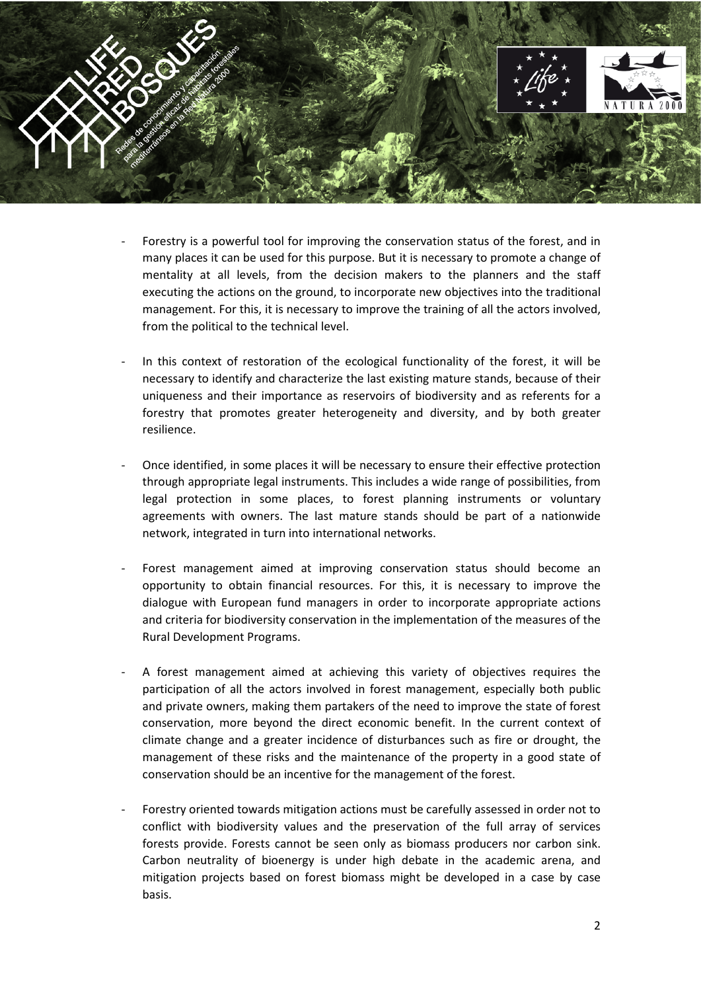

- Forestry is a powerful tool for improving the conservation status of the forest, and in many places it can be used for this purpose. But it is necessary to promote a change of mentality at all levels, from the decision makers to the planners and the staff executing the actions on the ground, to incorporate new objectives into the traditional management. For this, it is necessary to improve the training of all the actors involved, from the political to the technical level.
- In this context of restoration of the ecological functionality of the forest, it will be necessary to identify and characterize the last existing mature stands, because of their uniqueness and their importance as reservoirs of biodiversity and as referents for a forestry that promotes greater heterogeneity and diversity, and by both greater resilience.
- Once identified, in some places it will be necessary to ensure their effective protection through appropriate legal instruments. This includes a wide range of possibilities, from legal protection in some places, to forest planning instruments or voluntary agreements with owners. The last mature stands should be part of a nationwide network, integrated in turn into international networks.
- Forest management aimed at improving conservation status should become an opportunity to obtain financial resources. For this, it is necessary to improve the dialogue with European fund managers in order to incorporate appropriate actions and criteria for biodiversity conservation in the implementation of the measures of the Rural Development Programs.
- A forest management aimed at achieving this variety of objectives requires the participation of all the actors involved in forest management, especially both public and private owners, making them partakers of the need to improve the state of forest conservation, more beyond the direct economic benefit. In the current context of climate change and a greater incidence of disturbances such as fire or drought, the management of these risks and the maintenance of the property in a good state of conservation should be an incentive for the management of the forest.
- Forestry oriented towards mitigation actions must be carefully assessed in order not to conflict with biodiversity values and the preservation of the full array of services forests provide. Forests cannot be seen only as biomass producers nor carbon sink. Carbon neutrality of bioenergy is under high debate in the academic arena, and mitigation projects based on forest biomass might be developed in a case by case basis.